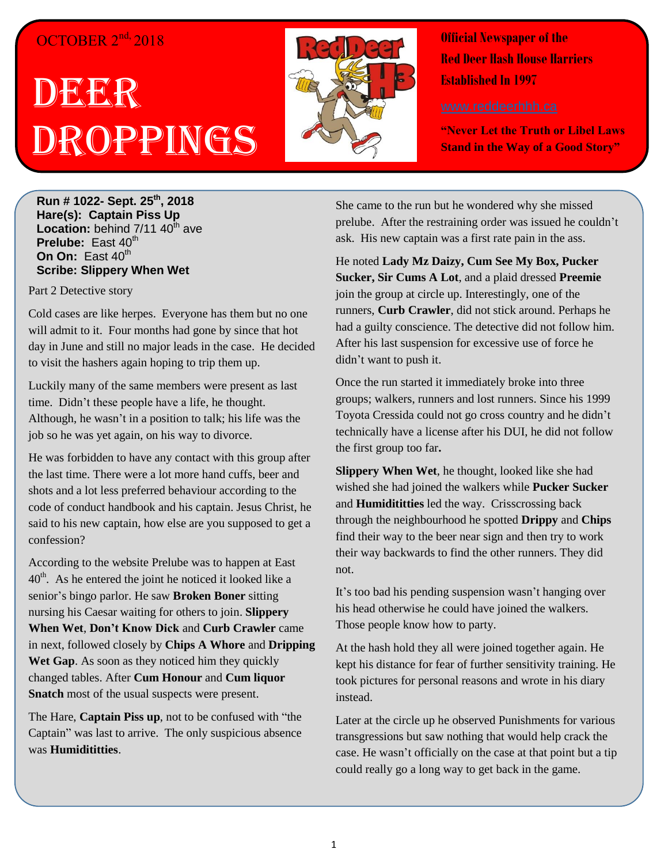#### OCTOBER 2<sup>nd,</sup> 2018

## DEERR Droppings



**Official Newspaper of the Red Deer Hash House Harriers Established In 1997** 

**"Never Let the Truth or Libel Laws Stand in the Way of a Good Story"**

**Run # 1022- Sept. 25 th, 2018 Hare(s): Captain Piss Up Location:** behind 7/11 40<sup>th</sup> ave **Prelube:** East 40<sup>th</sup> **On On:** East 40<sup>th</sup> **Scribe: Slippery When Wet**

Part 2 Detective story

Cold cases are like herpes. Everyone has them but no one will admit to it. Four months had gone by since that hot day in June and still no major leads in the case. He decided to visit the hashers again hoping to trip them up.

Luckily many of the same members were present as last time. Didn't these people have a life, he thought. Although, he wasn't in a position to talk; his life was the job so he was yet again, on his way to divorce.

He was forbidden to have any contact with this group after the last time. There were a lot more hand cuffs, beer and shots and a lot less preferred behaviour according to the code of conduct handbook and his captain. Jesus Christ, he said to his new captain, how else are you supposed to get a confession?

According to the website Prelube was to happen at East  $40<sup>th</sup>$ . As he entered the joint he noticed it looked like a senior's bingo parlor. He saw **Broken Boner** sitting nursing his Caesar waiting for others to join. **Slippery When Wet**, **Don't Know Dick** and **Curb Crawler** came in next, followed closely by **Chips A Whore** and **Dripping**  Wet Gap. As soon as they noticed him they quickly changed tables. After **Cum Honour** and **Cum liquor Snatch** most of the usual suspects were present.

The Hare, **Captain Piss up**, not to be confused with "the Captain" was last to arrive. The only suspicious absence was **Humidititties**.

She came to the run but he wondered why she missed prelube. After the restraining order was issued he couldn't ask. His new captain was a first rate pain in the ass.

He noted **Lady Mz Daizy, Cum See My Box, Pucker Sucker, Sir Cums A Lot**, and a plaid dressed **Preemie** join the group at circle up. Interestingly, one of the runners, **Curb Crawler**, did not stick around. Perhaps he had a guilty conscience. The detective did not follow him. After his last suspension for excessive use of force he didn't want to push it.

Once the run started it immediately broke into three groups; walkers, runners and lost runners. Since his 1999 Toyota Cressida could not go cross country and he didn't technically have a license after his DUI, he did not follow the first group too far**.** 

**Slippery When Wet**, he thought, looked like she had wished she had joined the walkers while **Pucker Sucker** and **Humidititties** led the way. Crisscrossing back through the neighbourhood he spotted **Drippy** and **Chips** find their way to the beer near sign and then try to work their way backwards to find the other runners. They did not.

It's too bad his pending suspension wasn't hanging over his head otherwise he could have joined the walkers. Those people know how to party.

At the hash hold they all were joined together again. He kept his distance for fear of further sensitivity training. He took pictures for personal reasons and wrote in his diary instead.

Later at the circle up he observed Punishments for various transgressions but saw nothing that would help crack the case. He wasn't officially on the case at that point but a tip could really go a long way to get back in the game.